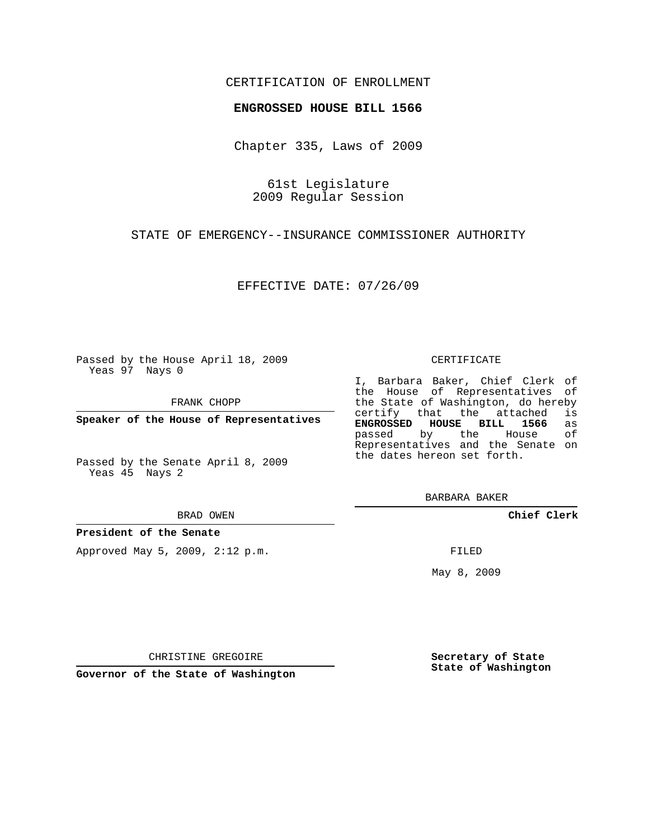## CERTIFICATION OF ENROLLMENT

## **ENGROSSED HOUSE BILL 1566**

Chapter 335, Laws of 2009

61st Legislature 2009 Regular Session

STATE OF EMERGENCY--INSURANCE COMMISSIONER AUTHORITY

EFFECTIVE DATE: 07/26/09

Passed by the House April 18, 2009 Yeas 97 Nays 0

FRANK CHOPP

**Speaker of the House of Representatives**

Passed by the Senate April 8, 2009 Yeas 45 Nays 2

BRAD OWEN

**President of the Senate**

Approved May 5, 2009, 2:12 p.m.

## CERTIFICATE

I, Barbara Baker, Chief Clerk of the House of Representatives of the State of Washington, do hereby<br>certify that the attached is certify that the attached **ENGROSSED HOUSE BILL 1566** as passed by the House Representatives and the Senate on the dates hereon set forth.

BARBARA BAKER

**Chief Clerk**

FILED

May 8, 2009

**Secretary of State State of Washington**

CHRISTINE GREGOIRE

**Governor of the State of Washington**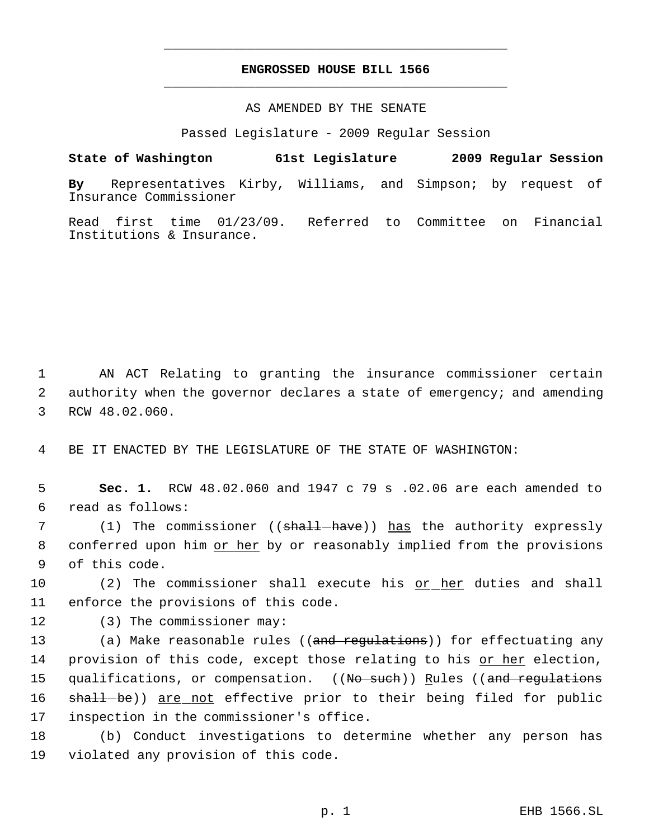## **ENGROSSED HOUSE BILL 1566** \_\_\_\_\_\_\_\_\_\_\_\_\_\_\_\_\_\_\_\_\_\_\_\_\_\_\_\_\_\_\_\_\_\_\_\_\_\_\_\_\_\_\_\_\_

\_\_\_\_\_\_\_\_\_\_\_\_\_\_\_\_\_\_\_\_\_\_\_\_\_\_\_\_\_\_\_\_\_\_\_\_\_\_\_\_\_\_\_\_\_

AS AMENDED BY THE SENATE

Passed Legislature - 2009 Regular Session

**State of Washington 61st Legislature 2009 Regular Session By** Representatives Kirby, Williams, and Simpson; by request of Insurance Commissioner

Read first time 01/23/09. Referred to Committee on Financial Institutions & Insurance.

 1 AN ACT Relating to granting the insurance commissioner certain 2 authority when the governor declares a state of emergency; and amending 3 RCW 48.02.060.

4 BE IT ENACTED BY THE LEGISLATURE OF THE STATE OF WASHINGTON:

 5 **Sec. 1.** RCW 48.02.060 and 1947 c 79 s .02.06 are each amended to 6 read as follows:

7 (1) The commissioner ((<del>shall have</del>)) has the authority expressly 8 conferred upon him or her by or reasonably implied from the provisions 9 of this code.

10 (2) The commissioner shall execute his or her duties and shall 11 enforce the provisions of this code.

12 (3) The commissioner may:

13 (a) Make reasonable rules ((and regulations)) for effectuating any 14 provision of this code, except those relating to his or her election, 15 qualifications, or compensation. ((No such)) Rules ((and regulations 16 shall-be)) are not effective prior to their being filed for public 17 inspection in the commissioner's office.

18 (b) Conduct investigations to determine whether any person has 19 violated any provision of this code.